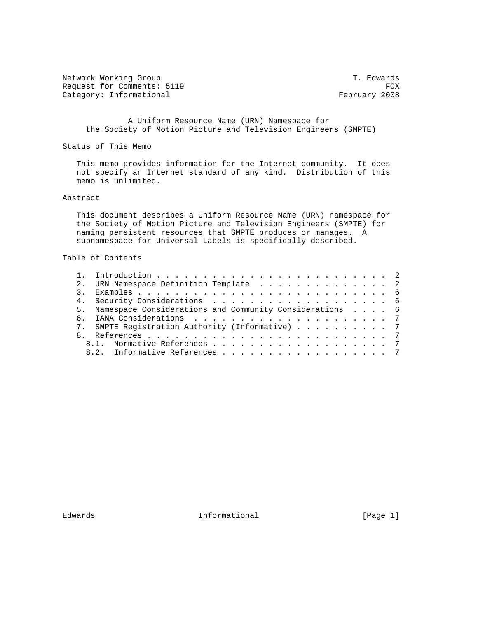Network Working Group T. Edwards Request for Comments: 5119 FOX<br>
Category: Informational Service Services of Tebruary 2008 Category: Informational

 A Uniform Resource Name (URN) Namespace for the Society of Motion Picture and Television Engineers (SMPTE)

Status of This Memo

 This memo provides information for the Internet community. It does not specify an Internet standard of any kind. Distribution of this memo is unlimited.

## Abstract

 This document describes a Uniform Resource Name (URN) namespace for the Society of Motion Picture and Television Engineers (SMPTE) for naming persistent resources that SMPTE produces or manages. A subnamespace for Universal Labels is specifically described.

## Table of Contents

|  | 2. URN Namespace Definition Template 2                     |  |
|--|------------------------------------------------------------|--|
|  |                                                            |  |
|  |                                                            |  |
|  | 5. Namespace Considerations and Community Considerations 6 |  |
|  |                                                            |  |
|  | 7. SMPTE Registration Authority (Informative) 7            |  |
|  |                                                            |  |
|  | 8.1. Normative References 7                                |  |
|  | 8.2. Informative References 7                              |  |

Edwards Informational [Page 1]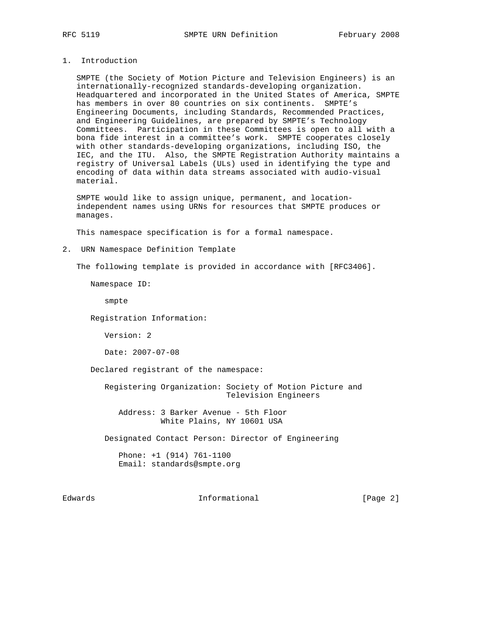## 1. Introduction

 SMPTE (the Society of Motion Picture and Television Engineers) is an internationally-recognized standards-developing organization. Headquartered and incorporated in the United States of America, SMPTE has members in over 80 countries on six continents. SMPTE's Engineering Documents, including Standards, Recommended Practices, and Engineering Guidelines, are prepared by SMPTE's Technology Committees. Participation in these Committees is open to all with a bona fide interest in a committee's work. SMPTE cooperates closely with other standards-developing organizations, including ISO, the IEC, and the ITU. Also, the SMPTE Registration Authority maintains a registry of Universal Labels (ULs) used in identifying the type and encoding of data within data streams associated with audio-visual material.

 SMPTE would like to assign unique, permanent, and location independent names using URNs for resources that SMPTE produces or manages.

This namespace specification is for a formal namespace.

2. URN Namespace Definition Template

The following template is provided in accordance with [RFC3406].

Namespace ID:

smpte

Registration Information:

Version: 2

Date: 2007-07-08

Declared registrant of the namespace:

 Registering Organization: Society of Motion Picture and Television Engineers

 Address: 3 Barker Avenue - 5th Floor White Plains, NY 10601 USA

Designated Contact Person: Director of Engineering

 Phone: +1 (914) 761-1100 Email: standards@smpte.org

Edwards **Informational Informational** [Page 2]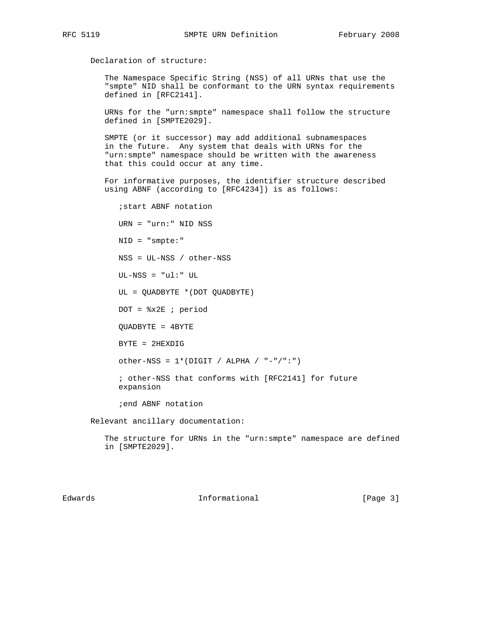Declaration of structure:

 The Namespace Specific String (NSS) of all URNs that use the "smpte" NID shall be conformant to the URN syntax requirements defined in [RFC2141].

 URNs for the "urn:smpte" namespace shall follow the structure defined in [SMPTE2029].

 SMPTE (or it successor) may add additional subnamespaces in the future. Any system that deals with URNs for the "urn:smpte" namespace should be written with the awareness that this could occur at any time.

 For informative purposes, the identifier structure described using ABNF (according to [RFC4234]) is as follows:

 ;start ABNF notation URN = "urn:" NID NSS NID = "smpte:" NSS = UL-NSS / other-NSS UL-NSS = "ul:" UL UL = QUADBYTE \*(DOT QUADBYTE)  $DOT =  $\$x2E$  ; period$  QUADBYTE = 4BYTE BYTE = 2HEXDIG other-NSS =  $1*(DIST / ALPHA / "--"/":")$  ; other-NSS that conforms with [RFC2141] for future expansion ;end ABNF notation

Relevant ancillary documentation:

 The structure for URNs in the "urn:smpte" namespace are defined in [SMPTE2029].

Edwards **Informational Informational** [Page 3]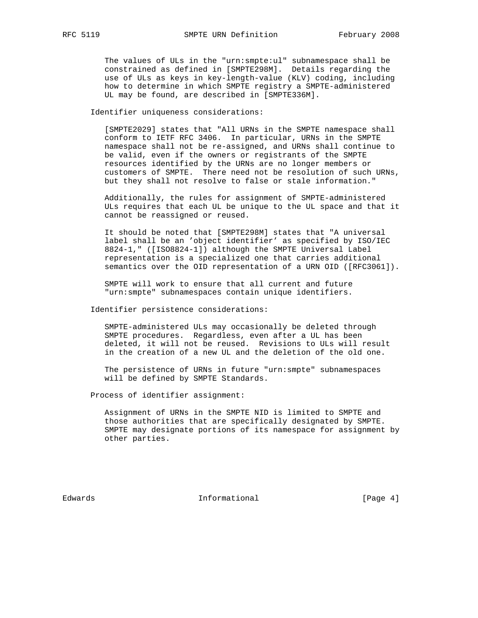The values of ULs in the "urn:smpte:ul" subnamespace shall be constrained as defined in [SMPTE298M]. Details regarding the use of ULs as keys in key-length-value (KLV) coding, including how to determine in which SMPTE registry a SMPTE-administered UL may be found, are described in [SMPTE336M].

Identifier uniqueness considerations:

 [SMPTE2029] states that "All URNs in the SMPTE namespace shall conform to IETF RFC 3406. In particular, URNs in the SMPTE namespace shall not be re-assigned, and URNs shall continue to be valid, even if the owners or registrants of the SMPTE resources identified by the URNs are no longer members or customers of SMPTE. There need not be resolution of such URNs, but they shall not resolve to false or stale information."

 Additionally, the rules for assignment of SMPTE-administered ULs requires that each UL be unique to the UL space and that it cannot be reassigned or reused.

 It should be noted that [SMPTE298M] states that "A universal label shall be an 'object identifier' as specified by ISO/IEC 8824-1," ([ISO8824-1]) although the SMPTE Universal Label representation is a specialized one that carries additional semantics over the OID representation of a URN OID ([RFC3061]).

 SMPTE will work to ensure that all current and future "urn:smpte" subnamespaces contain unique identifiers.

Identifier persistence considerations:

 SMPTE-administered ULs may occasionally be deleted through SMPTE procedures. Regardless, even after a UL has been deleted, it will not be reused. Revisions to ULs will result in the creation of a new UL and the deletion of the old one.

 The persistence of URNs in future "urn:smpte" subnamespaces will be defined by SMPTE Standards.

Process of identifier assignment:

 Assignment of URNs in the SMPTE NID is limited to SMPTE and those authorities that are specifically designated by SMPTE. SMPTE may designate portions of its namespace for assignment by other parties.

Edwards **Informational Informational** [Page 4]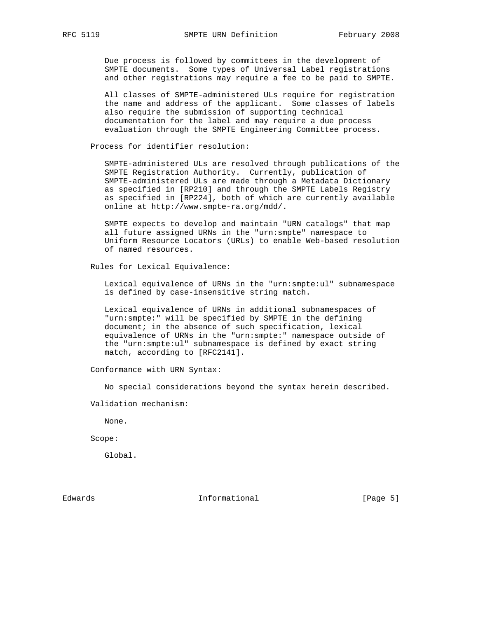Due process is followed by committees in the development of SMPTE documents. Some types of Universal Label registrations and other registrations may require a fee to be paid to SMPTE.

 All classes of SMPTE-administered ULs require for registration the name and address of the applicant. Some classes of labels also require the submission of supporting technical documentation for the label and may require a due process evaluation through the SMPTE Engineering Committee process.

Process for identifier resolution:

 SMPTE-administered ULs are resolved through publications of the SMPTE Registration Authority. Currently, publication of SMPTE-administered ULs are made through a Metadata Dictionary as specified in [RP210] and through the SMPTE Labels Registry as specified in [RP224], both of which are currently available online at http://www.smpte-ra.org/mdd/.

 SMPTE expects to develop and maintain "URN catalogs" that map all future assigned URNs in the "urn:smpte" namespace to Uniform Resource Locators (URLs) to enable Web-based resolution of named resources.

Rules for Lexical Equivalence:

 Lexical equivalence of URNs in the "urn:smpte:ul" subnamespace is defined by case-insensitive string match.

 Lexical equivalence of URNs in additional subnamespaces of "urn:smpte:" will be specified by SMPTE in the defining document; in the absence of such specification, lexical equivalence of URNs in the "urn:smpte:" namespace outside of the "urn:smpte:ul" subnamespace is defined by exact string match, according to [RFC2141].

Conformance with URN Syntax:

No special considerations beyond the syntax herein described.

Validation mechanism:

None.

Scope:

Global.

Edwards **Informational Informational Informational** [Page 5]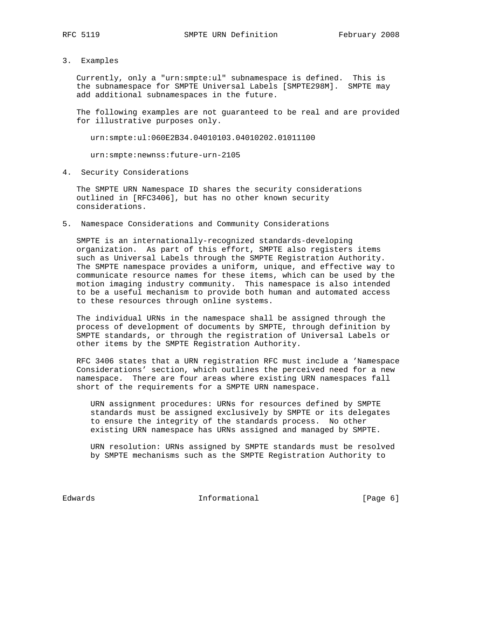3. Examples

 Currently, only a "urn:smpte:ul" subnamespace is defined. This is the subnamespace for SMPTE Universal Labels [SMPTE298M]. SMPTE may add additional subnamespaces in the future.

 The following examples are not guaranteed to be real and are provided for illustrative purposes only.

urn:smpte:ul:060E2B34.04010103.04010202.01011100

urn:smpte:newnss:future-urn-2105

4. Security Considerations

 The SMPTE URN Namespace ID shares the security considerations outlined in [RFC3406], but has no other known security considerations.

5. Namespace Considerations and Community Considerations

 SMPTE is an internationally-recognized standards-developing organization. As part of this effort, SMPTE also registers items such as Universal Labels through the SMPTE Registration Authority. The SMPTE namespace provides a uniform, unique, and effective way to communicate resource names for these items, which can be used by the motion imaging industry community. This namespace is also intended to be a useful mechanism to provide both human and automated access to these resources through online systems.

 The individual URNs in the namespace shall be assigned through the process of development of documents by SMPTE, through definition by SMPTE standards, or through the registration of Universal Labels or other items by the SMPTE Registration Authority.

 RFC 3406 states that a URN registration RFC must include a 'Namespace Considerations' section, which outlines the perceived need for a new namespace. There are four areas where existing URN namespaces fall short of the requirements for a SMPTE URN namespace.

 URN assignment procedures: URNs for resources defined by SMPTE standards must be assigned exclusively by SMPTE or its delegates to ensure the integrity of the standards process. No other existing URN namespace has URNs assigned and managed by SMPTE.

 URN resolution: URNs assigned by SMPTE standards must be resolved by SMPTE mechanisms such as the SMPTE Registration Authority to

Edwards 1nformational [Page 6]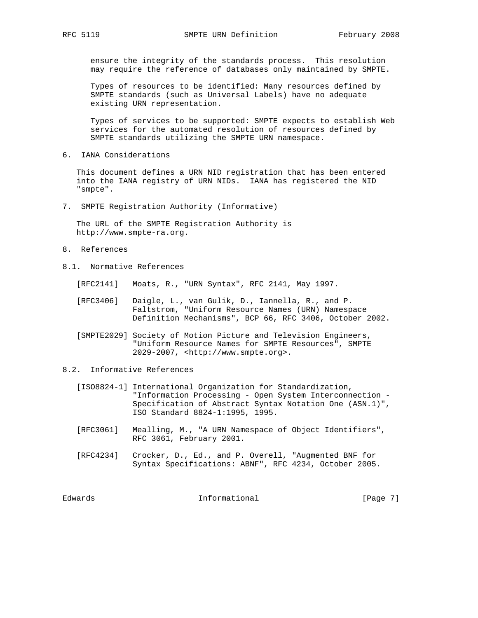ensure the integrity of the standards process. This resolution may require the reference of databases only maintained by SMPTE.

 Types of resources to be identified: Many resources defined by SMPTE standards (such as Universal Labels) have no adequate existing URN representation.

 Types of services to be supported: SMPTE expects to establish Web services for the automated resolution of resources defined by SMPTE standards utilizing the SMPTE URN namespace.

6. IANA Considerations

 This document defines a URN NID registration that has been entered into the IANA registry of URN NIDs. IANA has registered the NID "smpte".

7. SMPTE Registration Authority (Informative)

 The URL of the SMPTE Registration Authority is http://www.smpte-ra.org.

- 8. References
- 8.1. Normative References
	- [RFC2141] Moats, R., "URN Syntax", RFC 2141, May 1997.
	- [RFC3406] Daigle, L., van Gulik, D., Iannella, R., and P. Faltstrom, "Uniform Resource Names (URN) Namespace Definition Mechanisms", BCP 66, RFC 3406, October 2002.
	- [SMPTE2029] Society of Motion Picture and Television Engineers, "Uniform Resource Names for SMPTE Resources", SMPTE 2029-2007, <http://www.smpte.org>.
- 8.2. Informative References
	- [ISO8824-1] International Organization for Standardization, "Information Processing - Open System Interconnection - Specification of Abstract Syntax Notation One (ASN.1)", ISO Standard 8824-1:1995, 1995.
	- [RFC3061] Mealling, M., "A URN Namespace of Object Identifiers", RFC 3061, February 2001.
	- [RFC4234] Crocker, D., Ed., and P. Overell, "Augmented BNF for Syntax Specifications: ABNF", RFC 4234, October 2005.

Edwards **Informational Informational** [Page 7]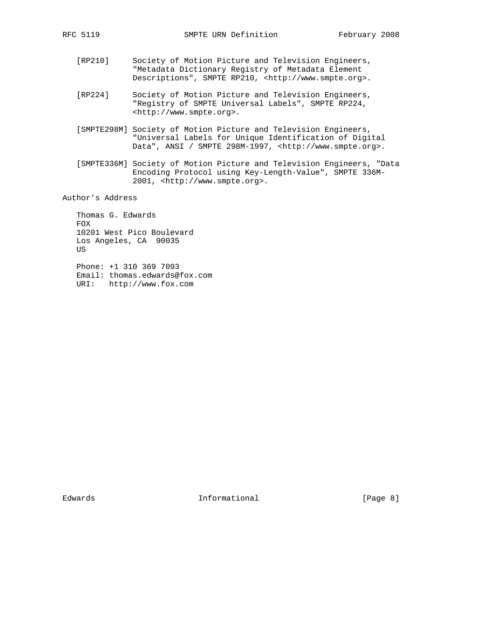- [RP210] Society of Motion Picture and Television Engineers, "Metadata Dictionary Registry of Metadata Element Descriptions", SMPTE RP210, <http://www.smpte.org>.
- [RP224] Society of Motion Picture and Television Engineers, "Registry of SMPTE Universal Labels", SMPTE RP224, <http://www.smpte.org>.
- [SMPTE298M] Society of Motion Picture and Television Engineers, "Universal Labels for Unique Identification of Digital Data", ANSI / SMPTE 298M-1997, <http://www.smpte.org>.
- [SMPTE336M] Society of Motion Picture and Television Engineers, "Data Encoding Protocol using Key-Length-Value", SMPTE 336M- 2001, <http://www.smpte.org>.

Author's Address

 Thomas G. Edwards FOX 10201 West Pico Boulevard Los Angeles, CA 90035 US

 Phone: +1 310 369 7093 Email: thomas.edwards@fox.com URI: http://www.fox.com

Edwards 1nformational [Page 8]